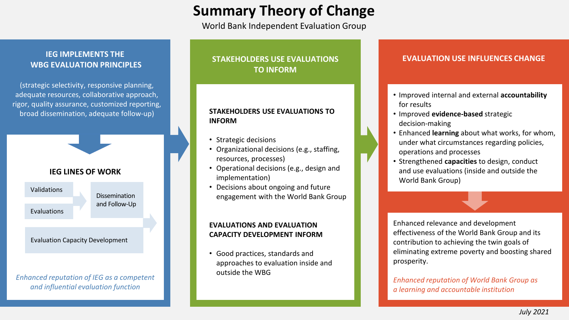# **Summary Theory of Change**

World Bank Independent Evaluation Group

# **IEG IMPLEMENTS THE WBG EVALUATION PRINCIPLES**

(strategic selectivity, responsive planning, adequate resources, collaborative approach, rigor, quality assurance, customized reporting, broad dissemination, adequate follow-up)

## **IEG LINES OF WORK**

Validations

Evaluations

Dissemination and Follow-Up

#### Evaluation Capacity Development

*Enhanced reputation of IEG as a competent and influential evaluation function*

# **STAKEHOLDERS USE EVALUATIONS TO INFORM**

### **STAKEHOLDERS USE EVALUATIONS TO INFORM**

- Strategic decisions
- Organizational decisions (e.g., staffing, resources, processes)
- Operational decisions (e.g., design and implementation)
- Decisions about ongoing and future engagement with the World Bank Group

### **EVALUATIONS AND EVALUATION CAPACITY DEVELOPMENT INFORM**

• Good practices, standards and approaches to evaluation inside and outside the WBG

## **EVALUATION USE INFLUENCES CHANGE**

- Improved internal and external **accountability** for results
- Improved **evidence-based** strategic decision-making
- Enhanced **learning** about what works, for whom, under what circumstances regarding policies, operations and processes
- Strengthened **capacities** to design, conduct and use evaluations (inside and outside the World Bank Group)

Enhanced relevance and development effectiveness of the World Bank Group and its contribution to achieving the twin goals of eliminating extreme poverty and boosting shared prosperity.

*Enhanced reputation of World Bank Group as a learning and accountable institution*